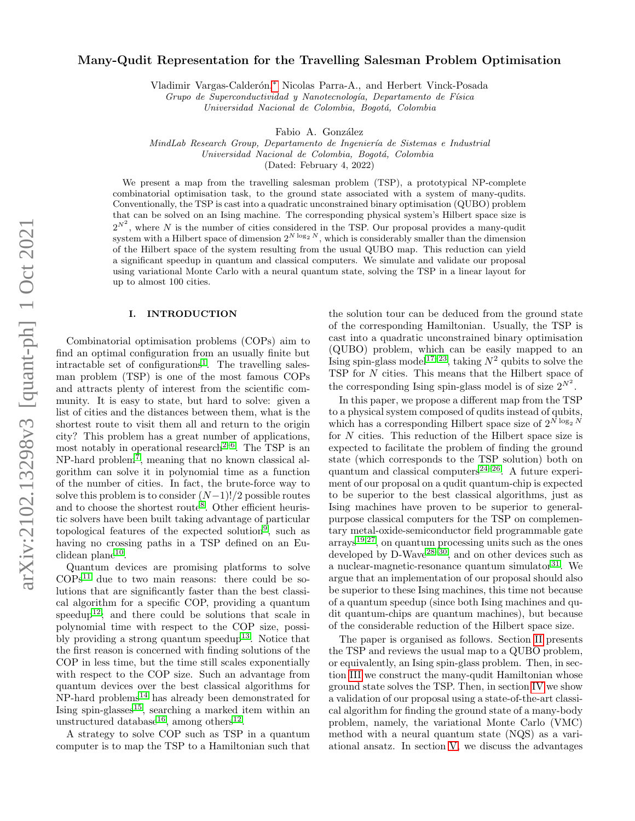# Many-Qudit Representation for the Travelling Salesman Problem Optimisation

Vladimir Vargas-Calderón,\* Nicolas Parra-A., and Herbert Vinck-Posada

Grupo de Superconductividad y Nanotecnología, Departamento de Física

Universidad Nacional de Colombia, Bogotá, Colombia

Fabio A. González

MindLab Research Group, Departamento de Ingeniería de Sistemas e Industrial Universidad Nacional de Colombia, Bogotá, Colombia

(Dated: February 4, 2022)

We present a map from the travelling salesman problem (TSP), a prototypical NP-complete combinatorial optimisation task, to the ground state associated with a system of many-qudits. Conventionally, the TSP is cast into a quadratic unconstrained binary optimisation (QUBO) problem that can be solved on an Ising machine. The corresponding physical system's Hilbert space size is  $2^{N^2}$ , where N is the number of cities considered in the TSP. Our proposal provides a many-qudit system with a Hilbert space of dimension  $2^{N \log_2 N}$ , which is considerably smaller than the dimension of the Hilbert space of the system resulting from the usual QUBO map. This reduction can yield a significant speedup in quantum and classical computers. We simulate and validate our proposal using variational Monte Carlo with a neural quantum state, solving the TSP in a linear layout for up to almost 100 cities.

### I. INTRODUCTION

Combinatorial optimisation problems (COPs) aim to find an optimal configuration from an usually finite but intractable set of configurations<sup>[1](#page-5-1)</sup>. The travelling salesman problem (TSP) is one of the most famous COPs and attracts plenty of interest from the scientific community. It is easy to state, but hard to solve: given a list of cities and the distances between them, what is the shortest route to visit them all and return to the origin city? This problem has a great number of applications, most notably in operational research<sup>[2–](#page-5-2)[6](#page-5-3)</sup>. The TSP is an NP-hard problem[7](#page-5-4) , meaning that no known classical algorithm can solve it in polynomial time as a function of the number of cities. In fact, the brute-force way to solve this problem is to consider  $(N-1)!/2$  possible routes and to choose the shortest route<sup>[8](#page-5-5)</sup>. Other efficient heuristic solvers have been built taking advantage of particular topological features of the expected solution[9](#page-5-6) , such as having no crossing paths in a TSP defined on an Eu-clidean plane<sup>[10](#page-5-7)</sup>.

Quantum devices are promising platforms to solve  $COPs<sup>11</sup>$  $COPs<sup>11</sup>$  $COPs<sup>11</sup>$  due to two main reasons: there could be solutions that are significantly faster than the best classical algorithm for a specific COP, providing a quantum speedup<sup>[12](#page-5-9)</sup>; and there could be solutions that scale in polynomial time with respect to the COP size, possi-bly providing a strong quantum speedup<sup>[13](#page-5-10)</sup>. Notice that the first reason is concerned with finding solutions of the COP in less time, but the time still scales exponentially with respect to the COP size. Such an advantage from quantum devices over the best classical algorithms for  $NP$ -hard problems<sup>[14](#page-5-11)</sup> has already been demonstrated for Ising spin-glasses<sup>[15](#page-5-12)</sup>, searching a marked item within an unstructured database<sup>[16](#page-5-13)</sup>, among others<sup>[12](#page-5-9)</sup>.

A strategy to solve COP such as TSP in a quantum computer is to map the TSP to a Hamiltonian such that

the solution tour can be deduced from the ground state of the corresponding Hamiltonian. Usually, the TSP is cast into a quadratic unconstrained binary optimisation (QUBO) problem, which can be easily mapped to an Ising spin-glass model<sup>[17](#page-5-14)[–23](#page-5-15)</sup>, taking  $N^2$  qubits to solve the TSP for N cities. This means that the Hilbert space of the corresponding Ising spin-glass model is of size  $2^{N^2}$ .

In this paper, we propose a different map from the TSP to a physical system composed of qudits instead of qubits, which has a corresponding Hilbert space size of  $2^{N \log_2 N}$ for N cities. This reduction of the Hilbert space size is expected to facilitate the problem of finding the ground state (which corresponds to the TSP solution) both on quantum and classical computers<sup>[24–](#page-5-16)[26](#page-5-17)</sup>. A future experiment of our proposal on a qudit quantum-chip is expected to be superior to the best classical algorithms, just as Ising machines have proven to be superior to generalpurpose classical computers for the TSP on complementary metal-oxide-semiconductor field programmable gate  $\arrows$ <sup>[19,](#page-5-18)[27](#page-5-19)</sup>, on quantum processing units such as the ones developed by  $D$ -Wave<sup>[28](#page-5-20)[–30](#page-5-21)</sup>, and on other devices such as a nuclear-magnetic-resonance quantum simulator $31$ . We argue that an implementation of our proposal should also be superior to these Ising machines, this time not because of a quantum speedup (since both Ising machines and qudit quantum-chips are quantum machines), but because of the considerable reduction of the Hilbert space size.

The paper is organised as follows. Section [II](#page-1-0) presents the TSP and reviews the usual map to a QUBO problem, or equivalently, an Ising spin-glass problem. Then, in section [III](#page-1-1) we construct the many-qudit Hamiltonian whose ground state solves the TSP. Then, in section [IV](#page-2-0) we show a validation of our proposal using a state-of-the-art classical algorithm for finding the ground state of a many-body problem, namely, the variational Monte Carlo (VMC) method with a neural quantum state (NQS) as a variational ansatz. In section [V,](#page-4-0) we discuss the advantages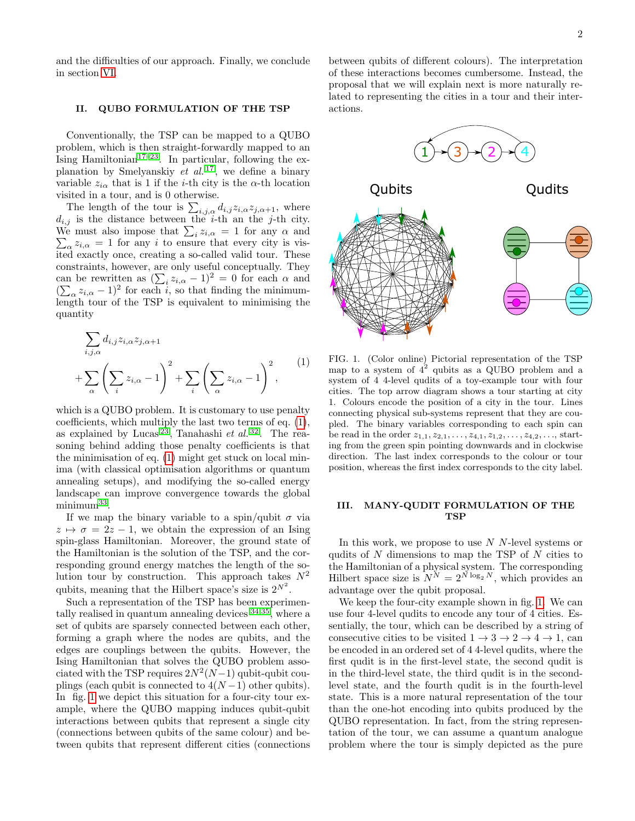and the difficulties of our approach. Finally, we conclude in section [VI.](#page-4-1)

## <span id="page-1-0"></span>II. QUBO FORMULATION OF THE TSP

Conventionally, the TSP can be mapped to a QUBO problem, which is then straight-forwardly mapped to an Ising Hamiltonian<sup>[17–](#page-5-14)[23](#page-5-15)</sup>. In particular, following the ex-planation by Smelyanskiy et al.<sup>[17](#page-5-14)</sup>, we define a binary variable  $z_{i\alpha}$  that is 1 if the *i*-th city is the  $\alpha$ -th location visited in a tour, and is 0 otherwise.

The length of the tour is  $\sum_{i,j,\alpha} d_{i,j} z_{i,\alpha} z_{j,\alpha+1}$ , where  $d_{i,j}$  is the distance between the *i*-th an the *j*-th city. We must also impose that  $\sum_i z_{i,\alpha} = 1$  for any  $\alpha$  and  $\sum_{\alpha} z_{i,\alpha} = 1$  for any i to ensure that every city is visited exactly once, creating a so-called valid tour. These constraints, however, are only useful conceptually. They can be rewritten as  $(\sum_i z_{i,\alpha} - 1)^2 = 0$  for each  $\alpha$  and  $(\sum_{\alpha} z_{i,\alpha} - 1)^2$  for each i, so that finding the minimumlength tour of the TSP is equivalent to minimising the quantity

$$
\sum_{i,j,\alpha} d_{i,j} z_{i,\alpha} z_{j,\alpha+1} + \sum_{\alpha} \left( \sum_{i} z_{i,\alpha} - 1 \right)^2 + \sum_{i} \left( \sum_{\alpha} z_{i,\alpha} - 1 \right)^2,
$$
\n(1)

which is a QUBO problem. It is customary to use penalty coefficients, which multiply the last two terms of eq. [\(1\)](#page-1-2), as explained by Lucas<sup>[23](#page-5-15)</sup>, Tanahashi et al.<sup>[32](#page-5-23)</sup>. The reasoning behind adding those penalty coefficients is that the minimisation of eq. [\(1\)](#page-1-2) might get stuck on local minima (with classical optimisation algorithms or quantum annealing setups), and modifying the so-called energy landscape can improve convergence towards the global minimum<sup>[33](#page-5-24)</sup>.

If we map the binary variable to a spin/qubit  $\sigma$  via  $z \mapsto \sigma = 2z - 1$ , we obtain the expression of an Ising spin-glass Hamiltonian. Moreover, the ground state of the Hamiltonian is the solution of the TSP, and the corresponding ground energy matches the length of the solution tour by construction. This approach takes  $N^2$ qubits, meaning that the Hilbert space's size is  $2^{N^2}$ .

Such a representation of the TSP has been experimentally realised in quantum annealing devices [34,](#page-5-25)[35](#page-5-26), where a set of qubits are sparsely connected between each other, forming a graph where the nodes are qubits, and the edges are couplings between the qubits. However, the Ising Hamiltonian that solves the QUBO problem associated with the TSP requires  $2N^2(N-1)$  qubit-qubit couplings (each qubit is connected to  $4(N-1)$  other qubits). In fig. [1](#page-1-3) we depict this situation for a four-city tour example, where the QUBO mapping induces qubit-qubit interactions between qubits that represent a single city (connections between qubits of the same colour) and between qubits that represent different cities (connections

between qubits of different colours). The interpretation of these interactions becomes cumbersome. Instead, the proposal that we will explain next is more naturally related to representing the cities in a tour and their interactions.



<span id="page-1-3"></span><span id="page-1-2"></span>FIG. 1. (Color online) Pictorial representation of the TSP map to a system of  $4^2$  qubits as a QUBO problem and a system of 4 4-level qudits of a toy-example tour with four cities. The top arrow diagram shows a tour starting at city 1. Colours encode the position of a city in the tour. Lines connecting physical sub-systems represent that they are coupled. The binary variables corresponding to each spin can be read in the order  $z_{1,1}, z_{2,1}, \ldots, z_{4,1}, z_{1,2}, \ldots, z_{4,2}, \ldots$ , starting from the green spin pointing downwards and in clockwise direction. The last index corresponds to the colour or tour position, whereas the first index corresponds to the city label.

### <span id="page-1-1"></span>III. MANY-QUDIT FORMULATION OF THE TSP

In this work, we propose to use  $N$  N-level systems or qudits of  $N$  dimensions to map the TSP of  $N$  cities to the Hamiltonian of a physical system. The corresponding Hilbert space size is  $N^N = 2^{N \log_2 N}$ , which provides an advantage over the qubit proposal.

We keep the four-city example shown in fig. [1.](#page-1-3) We can use four 4-level qudits to encode any tour of 4 cities. Essentially, the tour, which can be described by a string of consecutive cities to be visited  $1 \rightarrow 3 \rightarrow 2 \rightarrow 4 \rightarrow 1$ , can be encoded in an ordered set of 4 4-level qudits, where the first qudit is in the first-level state, the second qudit is in the third-level state, the third qudit is in the secondlevel state, and the fourth qudit is in the fourth-level state. This is a more natural representation of the tour than the one-hot encoding into qubits produced by the QUBO representation. In fact, from the string representation of the tour, we can assume a quantum analogue problem where the tour is simply depicted as the pure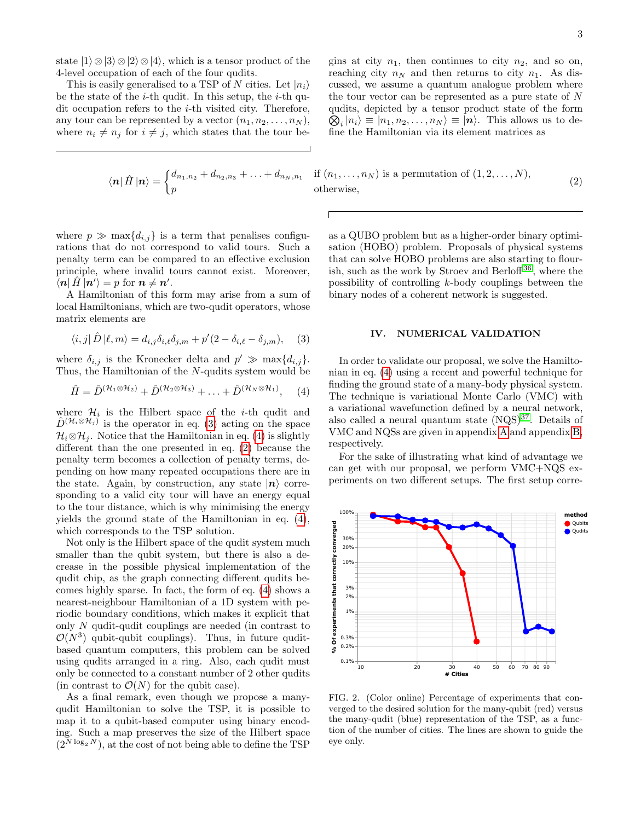state  $|1\rangle \otimes |3\rangle \otimes |2\rangle \otimes |4\rangle$ , which is a tensor product of the 4-level occupation of each of the four qudits.

This is easily generalised to a TSP of N cities. Let  $|n_i\rangle$ be the state of the  $i$ -th qudit. In this setup, the  $i$ -th qudit occupation refers to the i-th visited city. Therefore, any tour can be represented by a vector  $(n_1, n_2, \ldots, n_N)$ , where  $n_i \neq n_j$  for  $i \neq j$ , which states that the tour be-

<span id="page-2-3"></span>
$$
\bra{n}\hat{H}\ket{n} = \begin{cases} d_{n_1,n_2} + d_{n_2,n_3} + \ldots + d_{n_N,n_1} \\ p \end{cases}
$$

gins at city  $n_1$ , then continues to city  $n_2$ , and so on, reaching city  $n_N$  and then returns to city  $n_1$ . As discussed, we assume a quantum analogue problem where the tour vector can be represented as a pure state of  $N$ qudits, depicted by a tensor product state of the form  $\bigotimes_i |n_i\rangle \equiv |n_1, n_2, \ldots, n_N\rangle \equiv |\boldsymbol{n}\rangle$ . This allows us to define the Hamiltonian via its element matrices as

if  $(n_1, \ldots, n_N)$  is a permutation of  $(1, 2, \ldots, N)$ , otherwise, (2)

where  $p \gg \max\{d_{i,j}\}\$ is a term that penalises configurations that do not correspond to valid tours. Such a penalty term can be compared to an effective exclusion principle, where invalid tours cannot exist. Moreover,  $\mathcal{L}[\mathbf{n}|\hat{H}|\mathbf{n}'\rangle = p \text{ for } \mathbf{n} \neq \mathbf{n}'.$ 

A Hamiltonian of this form may arise from a sum of local Hamiltonians, which are two-qudit operators, whose matrix elements are

<span id="page-2-1"></span>
$$
\langle i,j|\,\hat{D}\,|\ell,m\rangle = d_{i,j}\delta_{i,\ell}\delta_{j,m} + p'(2-\delta_{i,\ell}-\delta_{j,m}),\tag{3}
$$

where  $\delta_{i,j}$  is the Kronecker delta and  $p' \gg \max\{d_{i,j}\}.$ Thus, the Hamiltonian of the N-qudits system would be

<span id="page-2-2"></span>
$$
\hat{H} = \hat{D}^{(\mathcal{H}_1 \otimes \mathcal{H}_2)} + \hat{D}^{(\mathcal{H}_2 \otimes \mathcal{H}_3)} + \ldots + \hat{D}^{(\mathcal{H}_N \otimes \mathcal{H}_1)}, \quad (4)
$$

where  $\mathcal{H}_i$  is the Hilbert space of the *i*-th qudit and  $\hat{D}^{(\mathcal{H}_i \otimes \mathcal{H}_j)}$  is the operator in eq. [\(3\)](#page-2-1) acting on the space  $\mathcal{H}_i \otimes \mathcal{H}_j$ . Notice that the Hamiltonian in eq. [\(4\)](#page-2-2) is slightly different than the one presented in eq. [\(2\)](#page-2-3) because the penalty term becomes a collection of penalty terms, depending on how many repeated occupations there are in the state. Again, by construction, any state  $|n\rangle$  corresponding to a valid city tour will have an energy equal to the tour distance, which is why minimising the energy yields the ground state of the Hamiltonian in eq. [\(4\)](#page-2-2), which corresponds to the TSP solution.

Not only is the Hilbert space of the qudit system much smaller than the qubit system, but there is also a decrease in the possible physical implementation of the qudit chip, as the graph connecting different qudits becomes highly sparse. In fact, the form of eq. [\(4\)](#page-2-2) shows a nearest-neighbour Hamiltonian of a 1D system with periodic boundary conditions, which makes it explicit that only N qudit-qudit couplings are needed (in contrast to  $\mathcal{O}(N^3)$  qubit-qubit couplings). Thus, in future quditbased quantum computers, this problem can be solved using qudits arranged in a ring. Also, each qudit must only be connected to a constant number of 2 other qudits (in contrast to  $\mathcal{O}(N)$  for the qubit case).

As a final remark, even though we propose a manyqudit Hamiltonian to solve the TSP, it is possible to map it to a qubit-based computer using binary encoding. Such a map preserves the size of the Hilbert space  $(2^{N \log_2 N})$ , at the cost of not being able to define the TSP

as a QUBO problem but as a higher-order binary optimisation (HOBO) problem. Proposals of physical systems that can solve HOBO problems are also starting to flourish, such as the work by Stroev and Berloff [36](#page-5-27) , where the possibility of controlling k-body couplings between the binary nodes of a coherent network is suggested.

#### <span id="page-2-0"></span>IV. NUMERICAL VALIDATION

In order to validate our proposal, we solve the Hamiltonian in eq. [\(4\)](#page-2-2) using a recent and powerful technique for finding the ground state of a many-body physical system. The technique is variational Monte Carlo (VMC) with a variational wavefunction defined by a neural network, also called a neural quantum state  $(NQS)^{37}$  $(NQS)^{37}$  $(NQS)^{37}$ . Details of VMC and NQSs are given in appendix [A](#page-7-0) and appendix [B,](#page-7-1) respectively.

For the sake of illustrating what kind of advantage we can get with our proposal, we perform VMC+NQS experiments on two different setups. The first setup corre-



<span id="page-2-4"></span>FIG. 2. (Color online) Percentage of experiments that converged to the desired solution for the many-qubit (red) versus the many-qudit (blue) representation of the TSP, as a function of the number of cities. The lines are shown to guide the eye only.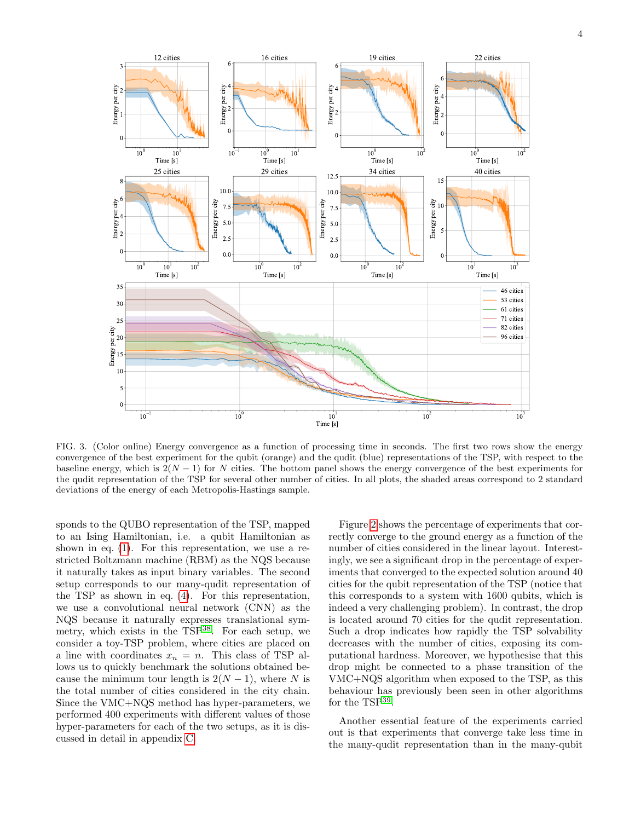

<span id="page-3-0"></span>FIG. 3. (Color online) Energy convergence as a function of processing time in seconds. The first two rows show the energy convergence of the best experiment for the qubit (orange) and the qudit (blue) representations of the TSP, with respect to the baseline energy, which is  $2(N-1)$  for N cities. The bottom panel shows the energy convergence of the best experiments for the qudit representation of the TSP for several other number of cities. In all plots, the shaded areas correspond to 2 standard deviations of the energy of each Metropolis-Hastings sample.

sponds to the QUBO representation of the TSP, mapped to an Ising Hamiltonian, i.e. a qubit Hamiltonian as shown in eq. [\(1\)](#page-1-2). For this representation, we use a restricted Boltzmann machine (RBM) as the NQS because it naturally takes as input binary variables. The second setup corresponds to our many-qudit representation of the TSP as shown in eq. [\(4\)](#page-2-2). For this representation, we use a convolutional neural network (CNN) as the NQS because it naturally expresses translational symmetry, which exists in the  $TSP^{38}$  $TSP^{38}$  $TSP^{38}$ . For each setup, we consider a toy-TSP problem, where cities are placed on a line with coordinates  $x_n = n$ . This class of TSP allows us to quickly benchmark the solutions obtained because the minimum tour length is  $2(N-1)$ , where N is the total number of cities considered in the city chain. Since the VMC+NQS method has hyper-parameters, we performed 400 experiments with different values of those hyper-parameters for each of the two setups, as it is discussed in detail in appendix [C.](#page-8-0)

Figure [2](#page-2-4) shows the percentage of experiments that correctly converge to the ground energy as a function of the number of cities considered in the linear layout. Interestingly, we see a significant drop in the percentage of experiments that converged to the expected solution around 40 cities for the qubit representation of the TSP (notice that this corresponds to a system with 1600 qubits, which is indeed a very challenging problem). In contrast, the drop is located around 70 cities for the qudit representation. Such a drop indicates how rapidly the TSP solvability decreases with the number of cities, exposing its computational hardness. Moreover, we hypothesise that this drop might be connected to a phase transition of the VMC+NQS algorithm when exposed to the TSP, as this behaviour has previously been seen in other algorithms for the TSP[39](#page-5-30) .

Another essential feature of the experiments carried out is that experiments that converge take less time in the many-qudit representation than in the many-qubit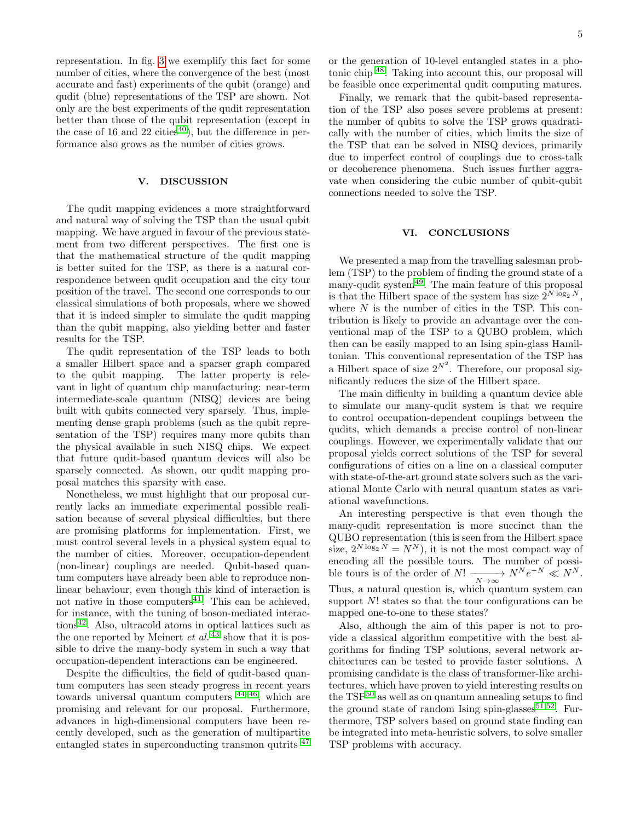representation. In fig. [3](#page-3-0) we exemplify this fact for some number of cities, where the convergence of the best (most accurate and fast) experiments of the qubit (orange) and qudit (blue) representations of the TSP are shown. Not only are the best experiments of the qudit representation better than those of the qubit representation (except in the case of 16 and 22 cities<sup>[40](#page-5-31)</sup>), but the difference in performance also grows as the number of cities grows.

## <span id="page-4-0"></span>V. DISCUSSION

The qudit mapping evidences a more straightforward and natural way of solving the TSP than the usual qubit mapping. We have argued in favour of the previous statement from two different perspectives. The first one is that the mathematical structure of the qudit mapping is better suited for the TSP, as there is a natural correspondence between qudit occupation and the city tour position of the travel. The second one corresponds to our classical simulations of both proposals, where we showed that it is indeed simpler to simulate the qudit mapping than the qubit mapping, also yielding better and faster results for the TSP.

The qudit representation of the TSP leads to both a smaller Hilbert space and a sparser graph compared to the qubit mapping. The latter property is relevant in light of quantum chip manufacturing: near-term intermediate-scale quantum (NISQ) devices are being built with qubits connected very sparsely. Thus, implementing dense graph problems (such as the qubit representation of the TSP) requires many more qubits than the physical available in such NISQ chips. We expect that future qudit-based quantum devices will also be sparsely connected. As shown, our qudit mapping proposal matches this sparsity with ease.

Nonetheless, we must highlight that our proposal currently lacks an immediate experimental possible realisation because of several physical difficulties, but there are promising platforms for implementation. First, we must control several levels in a physical system equal to the number of cities. Moreover, occupation-dependent (non-linear) couplings are needed. Qubit-based quantum computers have already been able to reproduce nonlinear behaviour, even though this kind of interaction is not native in those computers $41$ . This can be achieved, for instance, with the tuning of boson-mediated interactions[42](#page-5-33). Also, ultracold atoms in optical lattices such as the one reported by Meinert *et al.*  $43$  show that it is possible to drive the many-body system in such a way that occupation-dependent interactions can be engineered.

Despite the difficulties, the field of qudit-based quantum computers has seen steady progress in recent years towards universal quantum computers [44](#page-5-35)[–46](#page-5-36), which are promising and relevant for our proposal. Furthermore, advances in high-dimensional computers have been recently developed, such as the generation of multipartite entangled states in superconducting transmon qutrits <sup>[47](#page-6-0)</sup>

or the generation of 10-level entangled states in a photonic chip [48](#page-6-1). Taking into account this, our proposal will be feasible once experimental qudit computing matures.

Finally, we remark that the qubit-based representation of the TSP also poses severe problems at present: the number of qubits to solve the TSP grows quadratically with the number of cities, which limits the size of the TSP that can be solved in NISQ devices, primarily due to imperfect control of couplings due to cross-talk or decoherence phenomena. Such issues further aggravate when considering the cubic number of qubit-qubit connections needed to solve the TSP.

### <span id="page-4-1"></span>VI. CONCLUSIONS

We presented a map from the travelling salesman problem (TSP) to the problem of finding the ground state of a many-qudit system<sup>[49](#page-6-2)</sup>. The main feature of this proposal is that the Hilbert space of the system has size  $2^{N \log_2 N}$ , where  $N$  is the number of cities in the TSP. This contribution is likely to provide an advantage over the conventional map of the TSP to a QUBO problem, which then can be easily mapped to an Ising spin-glass Hamiltonian. This conventional representation of the TSP has a Hilbert space of size  $2^{N^2}$ . Therefore, our proposal significantly reduces the size of the Hilbert space.

The main difficulty in building a quantum device able to simulate our many-qudit system is that we require to control occupation-dependent couplings between the qudits, which demands a precise control of non-linear couplings. However, we experimentally validate that our proposal yields correct solutions of the TSP for several configurations of cities on a line on a classical computer with state-of-the-art ground state solvers such as the variational Monte Carlo with neural quantum states as variational wavefunctions.

An interesting perspective is that even though the many-qudit representation is more succinct than the QUBO representation (this is seen from the Hilbert space size,  $2^{N \log_2 N} = N^N$ , it is not the most compact way of encoding all the possible tours. The number of possible tours is of the order of  $N! \xrightarrow[N \to \infty]{} N^N e^{-N} \ll N^N$ . Thus, a natural question is, which quantum system can support  $N!$  states so that the tour configurations can be mapped one-to-one to these states?

Also, although the aim of this paper is not to provide a classical algorithm competitive with the best algorithms for finding TSP solutions, several network architectures can be tested to provide faster solutions. A promising candidate is the class of transformer-like architectures, which have proven to yield interesting results on the  $TSP<sup>50</sup>$  $TSP<sup>50</sup>$  $TSP<sup>50</sup>$  as well as on quantum annealing setups to find the ground state of random Ising spin-glasses  $51,52$  $51,52$ . Furthermore, TSP solvers based on ground state finding can be integrated into meta-heuristic solvers, to solve smaller TSP problems with accuracy.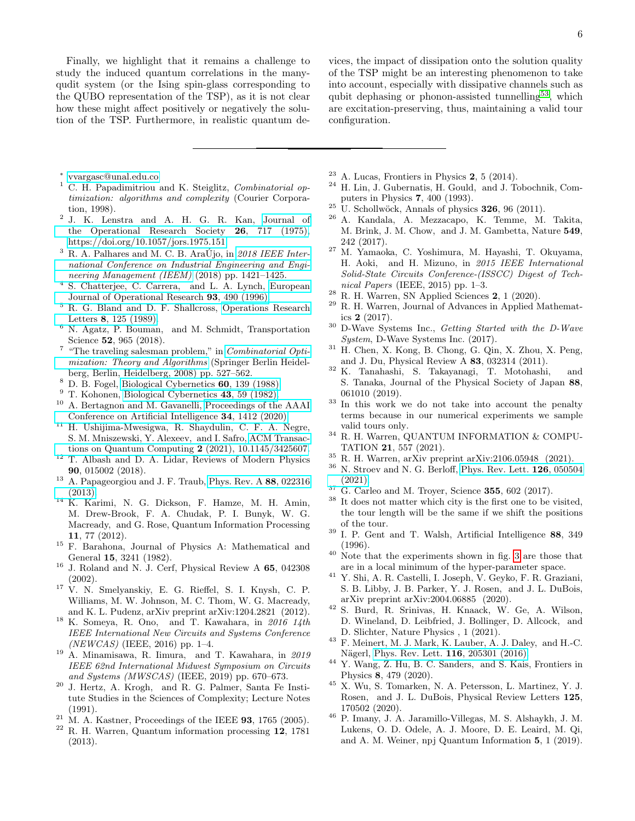Finally, we highlight that it remains a challenge to study the induced quantum correlations in the manyqudit system (or the Ising spin-glass corresponding to the QUBO representation of the TSP), as it is not clear how these might affect positively or negatively the solution of the TSP. Furthermore, in realistic quantum de-

vices, the impact of dissipation onto the solution quality of the TSP might be an interesting phenomenon to take into account, especially with dissipative channels such as qubit dephasing or phonon-assisted tunnelling<sup>[53](#page-6-6)</sup>, which are excitation-preserving, thus, maintaining a valid tour configuration.

- <span id="page-5-0"></span>∗ [vvargasc@unal.edu.co](mailto:vvargasc@unal.edu.co)
- <span id="page-5-1"></span> $1$  C. H. Papadimitriou and K. Steiglitz, *Combinatorial op*timization: algorithms and complexity (Courier Corporation, 1998).
- <span id="page-5-2"></span>2 J. K. Lenstra and A. H. G. R. Kan, [Journal of](http://dx.doi.org/10.1057/jors.1975.151) [the Operational Research Society](http://dx.doi.org/10.1057/jors.1975.151) 26, 717 (1975), [https://doi.org/10.1057/jors.1975.151.](http://arxiv.org/abs/https://doi.org/10.1057/jors.1975.151)
- $3$  R. A. Palhares and M. C. B. AraÚjo, in  $2018$  IEEE Inter[national Conference on Industrial Engineering and Engi](http://dx.doi.org/10.1109/IEEM.2018.8607472)[neering Management \(IEEM\)](http://dx.doi.org/10.1109/IEEM.2018.8607472) (2018) pp. 1421–1425.
- <sup>4</sup> S. Chatterjee, C. Carrera, and L. A. Lynch, [European](http://dx.doi.org/https://doi.org/10.1016/0377-2217(95)00077-1) [Journal of Operational Research](http://dx.doi.org/https://doi.org/10.1016/0377-2217(95)00077-1) 93, 490 (1996).
- <sup>5</sup> R. G. Bland and D. F. Shallcross, [Operations Research](http://dx.doi.org/ https://doi.org/10.1016/0167-6377(89)90037-0) Letters 8[, 125 \(1989\).](http://dx.doi.org/ https://doi.org/10.1016/0167-6377(89)90037-0)
- <span id="page-5-3"></span><sup>6</sup> N. Agatz, P. Bouman, and M. Schmidt, Transportation Science **52**, 965 (2018).
- <span id="page-5-4"></span><sup>7</sup> "The traveling salesman problem," in *[Combinatorial Opti](http://dx.doi.org/10.1007/978-3-540-71844-4_21)*[mization: Theory and Algorithms](http://dx.doi.org/10.1007/978-3-540-71844-4_21) (Springer Berlin Heidelberg, Berlin, Heidelberg, 2008) pp. 527–562.
- <span id="page-5-5"></span> $8$  D. B. Fogel, [Biological Cybernetics](http://dx.doi.org/10.1007/BF00202901) 60, 139 (1988).
- <span id="page-5-6"></span> $9$  T. Kohonen, [Biological Cybernetics](http://dx.doi.org/10.1007/BF00337288) 43, 59 (1982).
- <span id="page-5-7"></span><sup>10</sup> A. Bertagnon and M. Gavanelli, [Proceedings of the AAAI](http://dx.doi.org/10.1609/aaai.v34i02.5498) [Conference on Artificial Intelligence](http://dx.doi.org/10.1609/aaai.v34i02.5498) 34, 1412 (2020).
- <span id="page-5-8"></span><sup>11</sup> H. Ushijima-Mwesigwa, R. Shaydulin, C. F. A. Negre, S. M. Mniszewski, Y. Alexeev, and I. Safro, [ACM Transac](http://dx.doi.org/10.1145/3425607)[tions on Quantum Computing](http://dx.doi.org/10.1145/3425607) 2 (2021), 10.1145/3425607.
- <span id="page-5-9"></span><sup>12</sup> T. Albash and D. A. Lidar, Reviews of Modern Physics 90, 015002 (2018).
- <span id="page-5-10"></span><sup>13</sup> A. Papageorgiou and J. F. Traub, [Phys. Rev. A](http://dx.doi.org/10.1103/PhysRevA.88.022316) 88, 022316 [\(2013\).](http://dx.doi.org/10.1103/PhysRevA.88.022316)
- <span id="page-5-11"></span><sup>14</sup> K. Karimi, N. G. Dickson, F. Hamze, M. H. Amin, M. Drew-Brook, F. A. Chudak, P. I. Bunyk, W. G. Macready, and G. Rose, Quantum Information Processing 11, 77 (2012).
- <span id="page-5-12"></span><sup>15</sup> F. Barahona, Journal of Physics A: Mathematical and General 15, 3241 (1982).
- <span id="page-5-13"></span><sup>16</sup> J. Roland and N. J. Cerf, Physical Review A 65, 042308 (2002).
- <span id="page-5-14"></span> $17 \text{ V. N.}$  Smelyanskiy, E. G. Rieffel, S. I. Knysh, C. P. Williams, M. W. Johnson, M. C. Thom, W. G. Macready, and K. L. Pudenz, arXiv preprint arXiv:1204.2821 (2012).
- $^{18}$  K. Someya, R. Ono, and T. Kawahara, in  $\it 2016\,$   $14th$ IEEE International New Circuits and Systems Conference  $(NEWCAS)$  (IEEE, 2016) pp. 1-4.
- <span id="page-5-18"></span><sup>19</sup> A. Minamisawa, R. Iimura, and T. Kawahara, in 2019 IEEE 62nd International Midwest Symposium on Circuits and Systems (MWSCAS) (IEEE, 2019) pp. 670–673.
- <sup>20</sup> J. Hertz, A. Krogh, and R. G. Palmer, Santa Fe Institute Studies in the Sciences of Complexity; Lecture Notes (1991).
- $21$  M. A. Kastner, Proceedings of the IEEE 93, 1765 (2005).
- <sup>22</sup> R. H. Warren, Quantum information processing 12, 1781 (2013).
- <span id="page-5-15"></span> $23$  A. Lucas, Frontiers in Physics 2, 5 (2014).
- <span id="page-5-16"></span><sup>24</sup> H. Lin, J. Gubernatis, H. Gould, and J. Tobochnik, Computers in Physics 7, 400 (1993).
- $25$  U. Schollwöck, Annals of physics  $326$ , 96 (2011).
- <span id="page-5-17"></span><sup>26</sup> A. Kandala, A. Mezzacapo, K. Temme, M. Takita, M. Brink, J. M. Chow, and J. M. Gambetta, Nature 549, 242 (2017).
- <span id="page-5-19"></span><sup>27</sup> M. Yamaoka, C. Yoshimura, M. Hayashi, T. Okuyama, H. Aoki, and H. Mizuno, in 2015 IEEE International Solid-State Circuits Conference-(ISSCC) Digest of Technical Papers (IEEE, 2015) pp. 1–3.
- <span id="page-5-20"></span> $28$  R. H. Warren, SN Applied Sciences 2, 1 (2020).
- <sup>29</sup> R. H. Warren, Journal of Advances in Applied Mathematics 2 (2017).
- <span id="page-5-21"></span><sup>30</sup> D-Wave Systems Inc., Getting Started with the D-Wave System, D-Wave Systems Inc. (2017).
- <span id="page-5-22"></span><sup>31</sup> H. Chen, X. Kong, B. Chong, G. Qin, X. Zhou, X. Peng, and J. Du, Physical Review A 83, 032314 (2011).
- <span id="page-5-23"></span><sup>32</sup> K. Tanahashi, S. Takayanagi, T. Motohashi, and S. Tanaka, Journal of the Physical Society of Japan 88, 061010 (2019).
- <span id="page-5-24"></span><sup>33</sup> In this work we do not take into account the penalty terms because in our numerical experiments we sample valid tours only.
- <span id="page-5-25"></span> $^{34}$  R. H. Warren, QUANTUM INFORMATION  $\&$  COMPU-TATION 21, 557 (2021).
- <span id="page-5-26"></span> $^{35}$  R. H. Warren, arXiv preprint arXiv:2106.05948 (2021).
- <span id="page-5-27"></span> $36$  N. Stroev and N. G. Berloff, [Phys. Rev. Lett.](http://dx.doi.org/10.1103/PhysRevLett.126.050504)  $126$ , 050504 [\(2021\).](http://dx.doi.org/10.1103/PhysRevLett.126.050504)
- <span id="page-5-28"></span> $37 \text{ G}$ . Carleo and M. Troyer, Science **355**, 602 (2017).
- <span id="page-5-29"></span>It does not matter which city is the first one to be visited, the tour length will be the same if we shift the positions of the tour.
- <span id="page-5-30"></span> $39$  I. P. Gent and T. Walsh, Artificial Intelligence 88, 349 (1996).
- <span id="page-5-31"></span><sup>40</sup> Note that the experiments shown in fig. [3](#page-3-0) are those that are in a local minimum of the hyper-parameter space.
- <span id="page-5-32"></span><sup>41</sup> Y. Shi, A. R. Castelli, I. Joseph, V. Geyko, F. R. Graziani, S. B. Libby, J. B. Parker, Y. J. Rosen, and J. L. DuBois, arXiv preprint arXiv:2004.06885 (2020).
- <span id="page-5-33"></span><sup>42</sup> S. Burd, R. Srinivas, H. Knaack, W. Ge, A. Wilson, D. Wineland, D. Leibfried, J. Bollinger, D. Allcock, and D. Slichter, Nature Physics , 1 (2021).
- <span id="page-5-34"></span><sup>43</sup> F. Meinert, M. J. Mark, K. Lauber, A. J. Daley, and H.-C. Nägerl, [Phys. Rev. Lett.](http://dx.doi.org/ 10.1103/PhysRevLett.116.205301) **116**, 205301 (2016).
- <span id="page-5-35"></span>Y. Wang, Z. Hu, B. C. Sanders, and S. Kais, Frontiers in Physics 8, 479 (2020).
- <sup>45</sup> X. Wu, S. Tomarken, N. A. Petersson, L. Martinez, Y. J. Rosen, and J. L. DuBois, Physical Review Letters 125, 170502 (2020).
- <span id="page-5-36"></span><sup>46</sup> P. Imany, J. A. Jaramillo-Villegas, M. S. Alshaykh, J. M. Lukens, O. D. Odele, A. J. Moore, D. E. Leaird, M. Qi, and A. M. Weiner, npj Quantum Information 5, 1 (2019).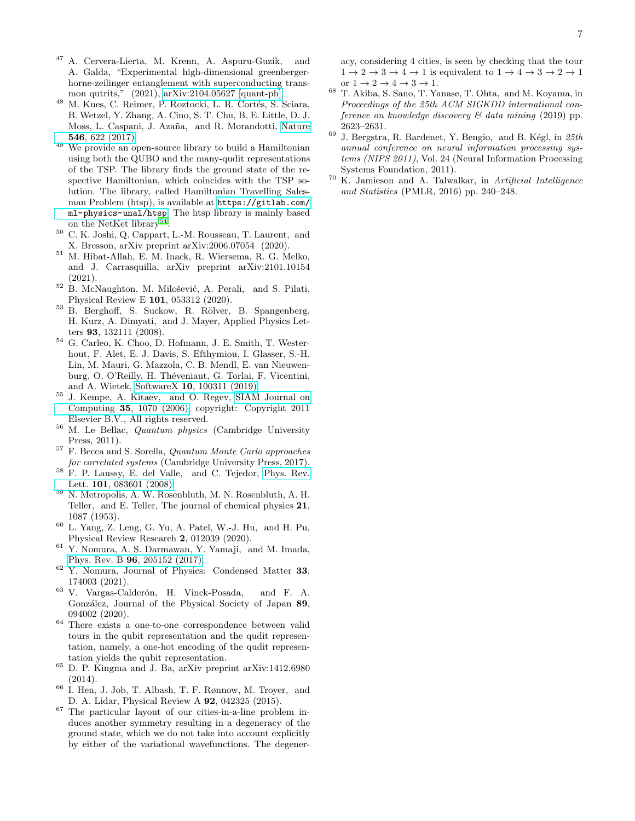- <span id="page-6-0"></span><sup>47</sup> A. Cervera-Lierta, M. Krenn, A. Aspuru-Guzik, and A. Galda, "Experimental high-dimensional greenbergerhorne-zeilinger entanglement with superconducting transmon qutrits," (2021), [arXiv:2104.05627 \[quant-ph\].](http://arxiv.org/abs/2104.05627)
- <span id="page-6-1"></span> $^{48}$  M. Kues, C. Reimer, P. Roztocki, L. R. Cortés, S. Sciara, B. Wetzel, Y. Zhang, A. Cino, S. T. Chu, B. E. Little, D. J. Moss, L. Caspani, J. Azaña, and R. Morandotti, [Nature](http://dx.doi.org/ 10.1038/nature22986) 546[, 622 \(2017\).](http://dx.doi.org/ 10.1038/nature22986)
- <span id="page-6-2"></span> $49$  We provide an open-source library to build a Hamiltonian using both the QUBO and the many-qudit representations of the TSP. The library finds the ground state of the respective Hamiltonian, which coincides with the TSP solution. The library, called Hamiltonian Travelling Salesman Problem (htsp), is available at [https://gitlab.com/](https://gitlab.com/ml-physics-unal/htsp) [ml-physics-unal/htsp](https://gitlab.com/ml-physics-unal/htsp). The htsp library is mainly based on the NetKet library<sup>[54](#page-6-7)</sup>.
- <span id="page-6-3"></span><sup>50</sup> C. K. Joshi, Q. Cappart, L.-M. Rousseau, T. Laurent, and X. Bresson, arXiv preprint arXiv:2006.07054 (2020).
- <span id="page-6-4"></span><sup>51</sup> M. Hibat-Allah, E. M. Inack, R. Wiersema, R. G. Melko, and J. Carrasquilla, arXiv preprint arXiv:2101.10154 (2021).
- <span id="page-6-5"></span><sup>52</sup> B. McNaughton, M. Milošević, A. Perali, and S. Pilati, Physical Review E 101, 053312 (2020).
- <span id="page-6-6"></span>53 B. Berghoff, S. Suckow, R. Rölver, B. Spangenberg, H. Kurz, A. Dimyati, and J. Mayer, Applied Physics Letters 93, 132111 (2008).
- <span id="page-6-7"></span> $^{54}$  G. Carleo, K. Choo, D. Hofmann, J. E. Smith, T. Westerhout, F. Alet, E. J. Davis, S. Efthymiou, I. Glasser, S.-H. Lin, M. Mauri, G. Mazzola, C. B. Mendl, E. van Nieuwenburg, O. O'Reilly, H. Théveniaut, G. Torlai, F. Vicentini, and A. Wietek, SoftwareX 10[, 100311 \(2019\).](http://dx.doi.org/ https://doi.org/10.1016/j.softx.2019.100311)
- <span id="page-6-8"></span><sup>55</sup> J. Kempe, A. Kitaev, and O. Regev, [SIAM Journal on](http://dx.doi.org/10.1137/S0097539704445226) Computing 35[, 1070 \(2006\),](http://dx.doi.org/10.1137/S0097539704445226) copyright: Copyright 2011 Elsevier B.V., All rights reserved.
- <span id="page-6-9"></span><sup>56</sup> M. Le Bellac, Quantum physics (Cambridge University Press, 2011).
- <span id="page-6-10"></span><sup>57</sup> F. Becca and S. Sorella, Quantum Monte Carlo approaches for correlated systems (Cambridge University Press, 2017).
- <span id="page-6-11"></span><sup>58</sup> F. P. Laussy, E. del Valle, and C. Tejedor, [Phys. Rev.](http://dx.doi.org/10.1103/PhysRevLett.101.083601) Lett. 101[, 083601 \(2008\).](http://dx.doi.org/10.1103/PhysRevLett.101.083601)
- <span id="page-6-12"></span><sup>59</sup> N. Metropolis, A. W. Rosenbluth, M. N. Rosenbluth, A. H. Teller, and E. Teller, The journal of chemical physics 21, 1087 (1953).
- <span id="page-6-15"></span> $60$  L. Yang, Z. Leng, G. Yu, A. Patel, W.-J. Hu, and H. Pu, Physical Review Research 2, 012039 (2020).
- <span id="page-6-13"></span><sup>61</sup> Y. Nomura, A. S. Darmawan, Y. Yamaji, and M. Imada, Phys. Rev. B 96[, 205152 \(2017\).](http://dx.doi.org/10.1103/PhysRevB.96.205152)
- <span id="page-6-17"></span><sup>62</sup> Y. Nomura, Journal of Physics: Condensed Matter 33, 174003 (2021).
- <span id="page-6-14"></span><sup>63</sup> V. Vargas-Calderón, H. Vinck-Posada, and F. A. González, Journal of the Physical Society of Japan 89, 094002 (2020).
- <span id="page-6-16"></span><sup>64</sup> There exists a one-to-one correspondence between valid tours in the qubit representation and the qudit representation, namely, a one-hot encoding of the qudit representation yields the qubit representation.
- <span id="page-6-18"></span><sup>65</sup> D. P. Kingma and J. Ba, arXiv preprint arXiv:1412.6980 (2014).
- <span id="page-6-19"></span><sup>66</sup> I. Hen, J. Job, T. Albash, T. F. Rønnow, M. Troyer, and D. A. Lidar, Physical Review A 92, 042325 (2015).
- <span id="page-6-20"></span><sup>67</sup> The particular layout of our cities-in-a-line problem induces another symmetry resulting in a degeneracy of the ground state, which we do not take into account explicitly by either of the variational wavefunctions. The degener-

acy, considering 4 cities, is seen by checking that the tour  $1 \rightarrow 2 \rightarrow 3 \rightarrow 4 \rightarrow 1$  is equivalent to  $1 \rightarrow 4 \rightarrow 3 \rightarrow 2 \rightarrow 1$ or  $1 \rightarrow 2 \rightarrow 4 \rightarrow 3 \rightarrow 1$ .

- <span id="page-6-21"></span><sup>68</sup> T. Akiba, S. Sano, T. Yanase, T. Ohta, and M. Koyama, in Proceedings of the 25th ACM SIGKDD international conference on knowledge discovery & data mining (2019) pp. 2623–2631.
- <span id="page-6-22"></span> $^{69}$  J. Bergstra, R. Bardenet, Y. Bengio, and B. Kégl, in  $25th$ annual conference on neural information processing systems (NIPS 2011), Vol. 24 (Neural Information Processing Systems Foundation, 2011).
- <span id="page-6-23"></span><sup>70</sup> K. Jamieson and A. Talwalkar, in Artificial Intelligence and Statistics (PMLR, 2016) pp. 240–248.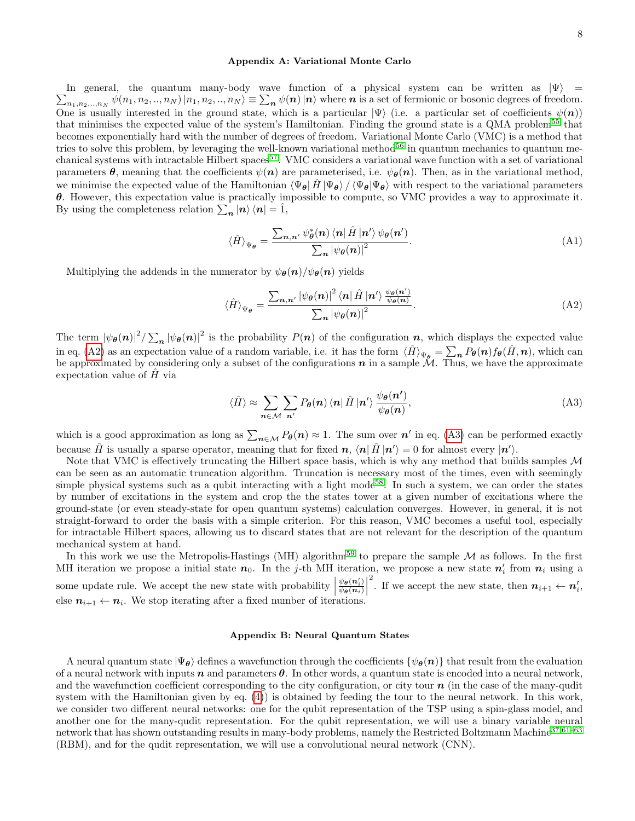### <span id="page-7-0"></span>Appendix A: Variational Monte Carlo

 $\sum_{n_1,n_2,\ldots,n_N} \psi(n_1,n_2,\ldots,n_N) |n_1,n_2,\ldots,n_N\rangle \equiv \sum_{\bf n} \psi({\bf n}) |{\bf n}\rangle$  where  ${\bf n}$  is a set of fermionic or bosonic degrees of freedom. In general, the quantum many-body wave function of a physical system can be written as  $|\Psi\rangle$  = One is usually interested in the ground state, which is a particular  $|\Psi\rangle$  (i.e. a particular set of coefficients  $\psi(n)$ ) that minimises the expected value of the system's Hamiltonian. Finding the ground state is a QMA problem<sup>[55](#page-6-8)</sup> that becomes exponentially hard with the number of degrees of freedom. Variational Monte Carlo (VMC) is a method that tries to solve this problem, by leveraging the well-known variational method $56$  in quantum mechanics to quantum me-chanical systems with intractable Hilbert spaces<sup>[57](#page-6-10)</sup>. VMC considers a variational wave function with a set of variational parameters  $\theta$ , meaning that the coefficients  $\psi(n)$  are parameterised, i.e.  $\psi_{\theta}(n)$ . Then, as in the variational method, we minimise the expected value of the Hamiltonian  $\langle \Psi_{\theta} | \hat{H} | \Psi_{\theta} \rangle / \langle \Psi_{\theta} | \Psi_{\theta} \rangle$  with respect to the variational parameters θ. However, this expectation value is practically impossible to compute, so VMC provides a way to approximate it. By using the completeness relation  $\sum_{n} |n\rangle \langle n| = \hat{1}$ ,

$$
\langle \hat{H} \rangle_{\Psi_{\theta}} = \frac{\sum_{n,n'} \psi_{\theta}^{*}(n) \langle n | \hat{H} | n' \rangle \psi_{\theta}(n')}{\sum_{n} |\psi_{\theta}(n)|^{2}}.
$$
\n(A1)

Multiplying the addends in the numerator by  $\psi_{\theta}(n)/\psi_{\theta}(n)$  yields

<span id="page-7-2"></span>
$$
\langle \hat{H} \rangle_{\Psi_{\theta}} = \frac{\sum_{n,n'} |\psi_{\theta}(n)|^2 \langle n | \hat{H} | n' \rangle \frac{\psi_{\theta}(n')}{\psi_{\theta}(n)}}{\sum_{n} |\psi_{\theta}(n)|^2}.
$$
\n(A2)

The term  $|\psi_{\theta}(n)|^2 / \sum_{n} |\psi_{\theta}(n)|^2$  is the probability  $P(n)$  of the configuration n, which displays the expected value in eq. [\(A2\)](#page-7-2) as an expectation value of a random variable, i.e. it has the form  $\langle \hat{H} \rangle_{\Psi_{\theta}} = \sum_{n} P_{\theta}(n) f_{\theta}(\hat{H}, n)$ , which can be approximated by considering only a subset of the configurations  $n$  in a sample  $\mathcal{M}$ . Thus, we have the approximate expectation value of  $\hat{H}$  via

<span id="page-7-3"></span>
$$
\langle \hat{H} \rangle \approx \sum_{n \in \mathcal{M}} \sum_{n'} P_{\theta}(n) \langle n | \hat{H} | n' \rangle \frac{\psi_{\theta}(n')}{\psi_{\theta}(n)}, \tag{A3}
$$

which is a good approximation as long as  $\sum_{n\in\mathcal{M}} P_{\theta}(n) \approx 1$ . The sum over  $n'$  in eq. [\(A3\)](#page-7-3) can be performed exactly because  $\hat{H}$  is usually a sparse operator, meaning that for fixed  $n, \langle n|\hat{H}|n'\rangle = 0$  for almost every  $|n'\rangle$ .

Note that VMC is effectively truncating the Hilbert space basis, which is why any method that builds samples M can be seen as an automatic truncation algorithm. Truncation is necessary most of the times, even with seemingly simple physical systems such as a qubit interacting with a light mode<sup>[58](#page-6-11)</sup>. In such a system, we can order the states by number of excitations in the system and crop the the states tower at a given number of excitations where the ground-state (or even steady-state for open quantum systems) calculation converges. However, in general, it is not straight-forward to order the basis with a simple criterion. For this reason, VMC becomes a useful tool, especially for intractable Hilbert spaces, allowing us to discard states that are not relevant for the description of the quantum mechanical system at hand.

In this work we use the Metropolis-Hastings (MH) algorithm<sup>[59](#page-6-12)</sup> to prepare the sample  $M$  as follows. In the first MH iteration we propose a initial state  $n_0$ . In the j-th MH iteration, we propose a new state  $n'_i$  from  $n_i$  using a some update rule. We accept the new state with probability  $\begin{vmatrix} 1 & 0 \\ 0 & 1 \end{vmatrix}$  $\psi_{\boldsymbol{\theta}}(\boldsymbol{n}_i')$  $\frac{\psi_{\boldsymbol{\theta}}(\boldsymbol{n}^{\prime}_i)}{\psi_{\boldsymbol{\theta}}(\boldsymbol{n}_i)}\bigg|$ <sup>2</sup>. If we accept the new state, then  $n_{i+1} \leftarrow n'_i$ , else  $n_{i+1} \leftarrow n_i$ . We stop iterating after a fixed number of iterations.

## <span id="page-7-1"></span>Appendix B: Neural Quantum States

A neural quantum state  $|\Psi_{\theta}\rangle$  defines a wavefunction through the coefficients  $\{\psi_{\theta}(n)\}\$  that result from the evaluation of a neural network with inputs  $n$  and parameters  $\theta$ . In other words, a quantum state is encoded into a neural network, and the wavefunction coefficient corresponding to the city configuration, or city tour  $n$  (in the case of the many-qudit system with the Hamiltonian given by eq. [\(4\)](#page-2-2)) is obtained by feeding the tour to the neural network. In this work, we consider two different neural networks: one for the qubit representation of the TSP using a spin-glass model, and another one for the many-qudit representation. For the qubit representation, we will use a binary variable neural network that has shown outstanding results in many-body problems, namely the Restricted Boltzmann Machine<sup>[37](#page-5-28)[,61–](#page-6-13)[63](#page-6-14)</sup> (RBM), and for the qudit representation, we will use a convolutional neural network (CNN).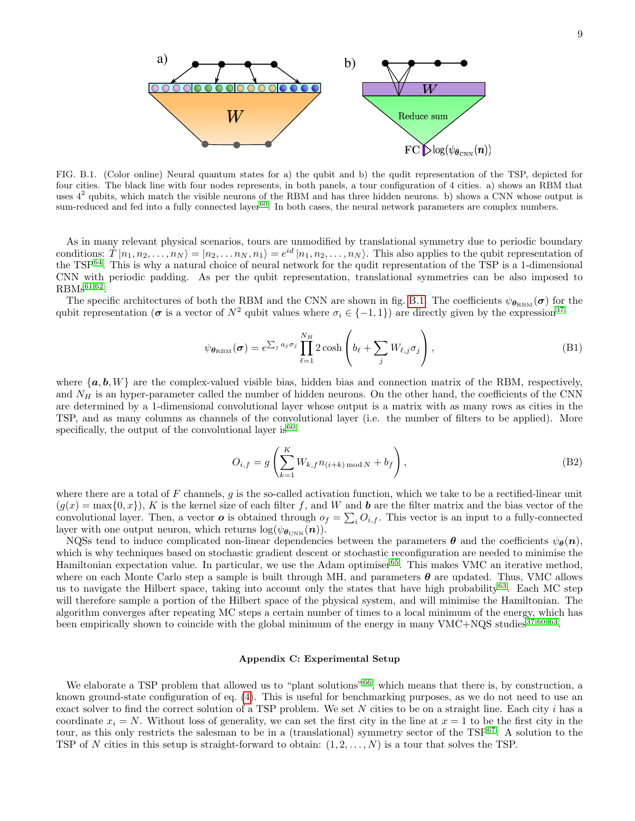

FIG. B.1. (Color online) Neural quantum states for a) the qubit and b) the qudit representation of the TSP, depicted for four cities. The black line with four nodes represents, in both panels, a tour configuration of 4 cities. a) shows an RBM that uses  $4^2$  qubits, which match the visible neurons of the RBM and has three hidden neurons. b) shows a CNN whose output is sum-reduced and fed into a fully connected layer<sup>[60](#page-6-15)</sup>. In both cases, the neural network parameters are complex numbers.

As in many relevant physical scenarios, tours are unmodified by translational symmetry due to periodic boundary conditions:  $\hat{T}|n_1, n_2, \ldots, n_N\rangle = |n_2, \ldots, n_N, n_1\rangle = e^{id} |n_1, n_2, \ldots, n_N\rangle$ . This also applies to the qubit representation of the TSP[64](#page-6-16). This is why a natural choice of neural network for the qudit representation of the TSP is a 1-dimensional CNN with periodic padding. As per the qubit representation, translational symmetries can be also imposed to  $RBMs<sup>61,62</sup>$  $RBMs<sup>61,62</sup>$  $RBMs<sup>61,62</sup>$  $RBMs<sup>61,62</sup>$ .

The specific architectures of both the RBM and the CNN are shown in fig. [B.1.](#page-1-3) The coefficients  $\psi_{\theta_{RBM}}(\sigma)$  for the qubit representation ( $\sigma$  is a vector of  $N^2$  qubit values where  $\sigma_i \in \{-1,1\}$ ) are directly given by the expression<sup>[37](#page-5-28)</sup>

$$
\psi_{\theta_{\text{RBM}}}(\boldsymbol{\sigma}) = e^{\sum_j a_j \sigma_j} \prod_{\ell=1}^{N_H} 2 \cosh \left( b_\ell + \sum_j W_{\ell,j} \sigma_j \right), \tag{B1}
$$

where  $\{a, b, W\}$  are the complex-valued visible bias, hidden bias and connection matrix of the RBM, respectively, and  $N_H$  is an hyper-parameter called the number of hidden neurons. On the other hand, the coefficients of the CNN are determined by a 1-dimensional convolutional layer whose output is a matrix with as many rows as cities in the TSP, and as many columns as channels of the convolutional layer (i.e. the number of filters to be applied). More specifically, the output of the convolutional layer is  $60$ 

$$
O_{i,f} = g\left(\sum_{k=1}^{K} W_{k,f} n_{(i+k) \text{ mod } N} + b_f\right),\tag{B2}
$$

where there are a total of F channels, g is the so-called activation function, which we take to be a rectified-linear unit  $(g(x) = \max\{0, x\})$ , K is the kernel size of each filter f, and W and b are the filter matrix and the bias vector of the convolutional layer. Then, a vector  $o$  is obtained through  $o_f = \sum_i O_{i,f}$ . This vector is an input to a fully-connected layer with one output neuron, which returns  $\log(\psi_{\theta_{\rm CNN}}({\bm n})).$ 

NQSs tend to induce complicated non-linear dependencies between the parameters  $\theta$  and the coefficients  $\psi_{\theta}(n)$ , which is why techniques based on stochastic gradient descent or stochastic reconfiguration are needed to minimise the Hamiltonian expectation value. In particular, we use the Adam optimiser<sup>[65](#page-6-18)</sup>. This makes VMC an iterative method, where on each Monte Carlo step a sample is built through MH, and parameters  $\theta$  are updated. Thus, VMC allows us to navigate the Hilbert space, taking into account only the states that have high probability<sup>[63](#page-6-14)</sup>. Each MC step will therefore sample a portion of the Hilbert space of the physical system, and will minimise the Hamiltonian. The algorithm converges after repeating MC steps a certain number of times to a local minimum of the energy, which has been empirically shown to coincide with the global minimum of the energy in many  $VMC+NQS$  studies<sup>[37,](#page-5-28)[60–](#page-6-15)[63](#page-6-14)</sup>.

#### <span id="page-8-0"></span>Appendix C: Experimental Setup

We elaborate a TSP problem that allowed us to "plant solutions"<sup>[66](#page-6-19)</sup>, which means that there is, by construction, a known ground-state configuration of eq. [\(4\)](#page-2-2). This is useful for benchmarking purposes, as we do not need to use an exact solver to find the correct solution of a TSP problem. We set  $N$  cities to be on a straight line. Each city  $i$  has a coordinate  $x_i = N$ . Without loss of generality, we can set the first city in the line at  $x = 1$  to be the first city in the tour, as this only restricts the salesman to be in a (translational) symmetry sector of the TSP<sup>[67](#page-6-20)</sup>. A solution to the TSP of N cities in this setup is straight-forward to obtain:  $(1, 2, \ldots, N)$  is a tour that solves the TSP.